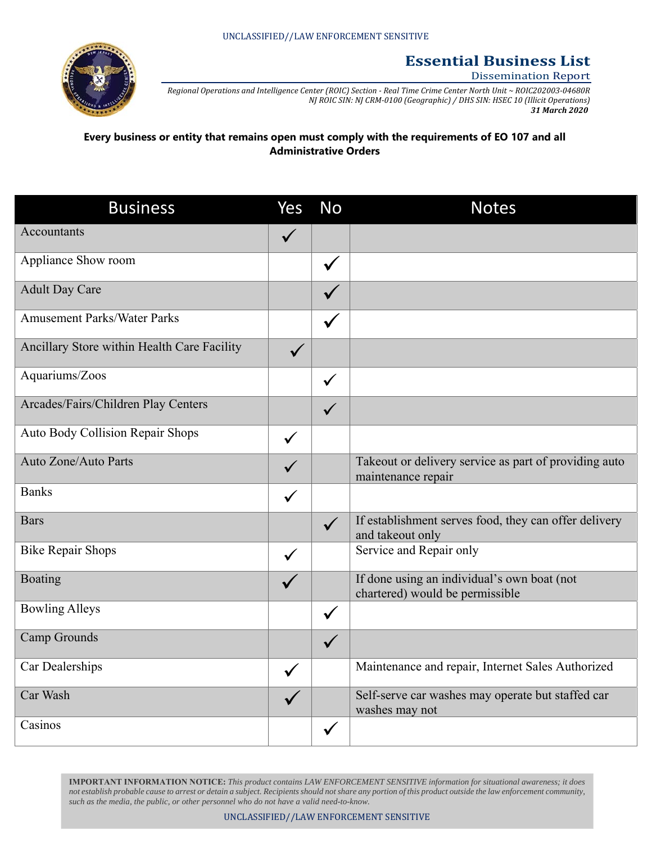

## **Essential Business List**

## Dissemination Report

Regional Operations and Intelligence Center (ROIC) Section - Real Time Crime Center North Unit ~ ROIC202003-04680R *NJ ROIC SIN: NJ CRM‐0100 (Geographic) / DHS SIN: HSEC 10 (Illicit Operations) 31 March 2020*

**Every business or entity that remains open must comply with the requirements of EO 107 and all Administrative Orders**

| <b>Business</b>                             | Yes          | <b>No</b>    | <b>Notes</b>                                                                   |
|---------------------------------------------|--------------|--------------|--------------------------------------------------------------------------------|
| Accountants                                 | $\checkmark$ |              |                                                                                |
| Appliance Show room                         |              | $\checkmark$ |                                                                                |
| <b>Adult Day Care</b>                       |              |              |                                                                                |
| <b>Amusement Parks/Water Parks</b>          |              | $\checkmark$ |                                                                                |
| Ancillary Store within Health Care Facility |              |              |                                                                                |
| Aquariums/Zoos                              |              | $\checkmark$ |                                                                                |
| Arcades/Fairs/Children Play Centers         |              | $\checkmark$ |                                                                                |
| Auto Body Collision Repair Shops            | $\checkmark$ |              |                                                                                |
| Auto Zone/Auto Parts                        | $\checkmark$ |              | Takeout or delivery service as part of providing auto<br>maintenance repair    |
| <b>Banks</b>                                | $\checkmark$ |              |                                                                                |
| <b>Bars</b>                                 |              | $\checkmark$ | If establishment serves food, they can offer delivery<br>and takeout only      |
| <b>Bike Repair Shops</b>                    | $\checkmark$ |              | Service and Repair only                                                        |
| Boating                                     |              |              | If done using an individual's own boat (not<br>chartered) would be permissible |
| <b>Bowling Alleys</b>                       |              | $\checkmark$ |                                                                                |
| Camp Grounds                                |              | $\checkmark$ |                                                                                |
| Car Dealerships                             | $\checkmark$ |              | Maintenance and repair, Internet Sales Authorized                              |
| Car Wash                                    |              |              | Self-serve car washes may operate but staffed car<br>washes may not            |
| Casinos                                     |              | $\checkmark$ |                                                                                |

**IMPORTANT INFORMATION NOTICE:** *This product contains LAW ENFORCEMENT SENSITIVE information for situational awareness; it does not establish probable cause to arrest or detain a subject. Recipients should not share any portion of this product outside the law enforcement community, such as the media, the public, or other personnel who do not have a valid need-to-know.*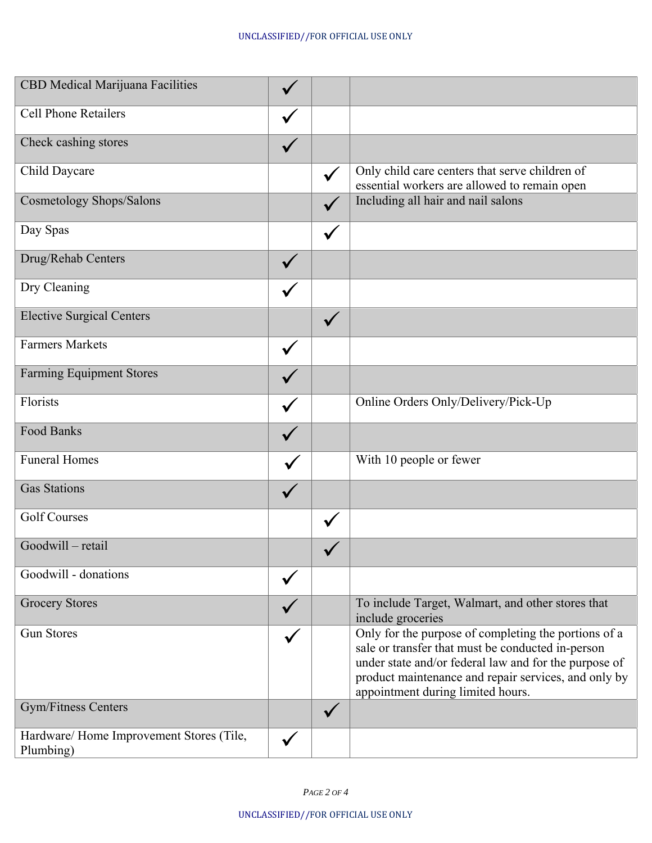| CBD Medical Marijuana Facilities                      |              |              |                                                                                                                                                                                                                                                                 |
|-------------------------------------------------------|--------------|--------------|-----------------------------------------------------------------------------------------------------------------------------------------------------------------------------------------------------------------------------------------------------------------|
| <b>Cell Phone Retailers</b>                           | $\checkmark$ |              |                                                                                                                                                                                                                                                                 |
| Check cashing stores                                  |              |              |                                                                                                                                                                                                                                                                 |
| Child Daycare                                         |              | $\checkmark$ | Only child care centers that serve children of<br>essential workers are allowed to remain open                                                                                                                                                                  |
| Cosmetology Shops/Salons                              |              | $\sqrt{}$    | Including all hair and nail salons                                                                                                                                                                                                                              |
| Day Spas                                              |              | $\checkmark$ |                                                                                                                                                                                                                                                                 |
| Drug/Rehab Centers                                    |              |              |                                                                                                                                                                                                                                                                 |
| Dry Cleaning                                          |              |              |                                                                                                                                                                                                                                                                 |
| <b>Elective Surgical Centers</b>                      |              | $\checkmark$ |                                                                                                                                                                                                                                                                 |
| <b>Farmers Markets</b>                                | $\checkmark$ |              |                                                                                                                                                                                                                                                                 |
| <b>Farming Equipment Stores</b>                       |              |              |                                                                                                                                                                                                                                                                 |
| Florists                                              | $\checkmark$ |              | Online Orders Only/Delivery/Pick-Up                                                                                                                                                                                                                             |
| Food Banks                                            |              |              |                                                                                                                                                                                                                                                                 |
| <b>Funeral Homes</b>                                  |              |              | With 10 people or fewer                                                                                                                                                                                                                                         |
| <b>Gas Stations</b>                                   |              |              |                                                                                                                                                                                                                                                                 |
| <b>Golf Courses</b>                                   |              | $\checkmark$ |                                                                                                                                                                                                                                                                 |
| Goodwill - retail                                     |              |              |                                                                                                                                                                                                                                                                 |
| Goodwill - donations                                  |              |              |                                                                                                                                                                                                                                                                 |
| <b>Grocery Stores</b>                                 |              |              | To include Target, Walmart, and other stores that<br>include groceries                                                                                                                                                                                          |
| <b>Gun Stores</b>                                     |              |              | Only for the purpose of completing the portions of a<br>sale or transfer that must be conducted in-person<br>under state and/or federal law and for the purpose of<br>product maintenance and repair services, and only by<br>appointment during limited hours. |
| Gym/Fitness Centers                                   |              | $\checkmark$ |                                                                                                                                                                                                                                                                 |
| Hardware/ Home Improvement Stores (Tile,<br>Plumbing) |              |              |                                                                                                                                                                                                                                                                 |

*PAGE 2 OF 4*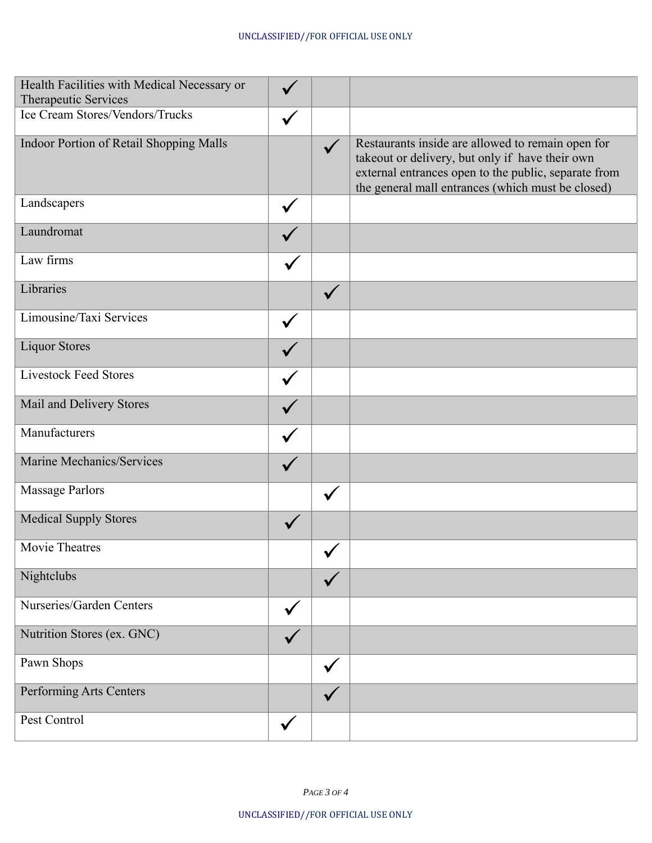| Health Facilities with Medical Necessary or<br>Therapeutic Services |              |              |                                                                                                                                                                                                                   |
|---------------------------------------------------------------------|--------------|--------------|-------------------------------------------------------------------------------------------------------------------------------------------------------------------------------------------------------------------|
| Ice Cream Stores/Vendors/Trucks                                     |              |              |                                                                                                                                                                                                                   |
| Indoor Portion of Retail Shopping Malls                             |              |              | Restaurants inside are allowed to remain open for<br>takeout or delivery, but only if have their own<br>external entrances open to the public, separate from<br>the general mall entrances (which must be closed) |
| Landscapers                                                         | $\checkmark$ |              |                                                                                                                                                                                                                   |
| Laundromat                                                          |              |              |                                                                                                                                                                                                                   |
| Law firms                                                           |              |              |                                                                                                                                                                                                                   |
| Libraries                                                           |              | $\checkmark$ |                                                                                                                                                                                                                   |
| Limousine/Taxi Services                                             | $\checkmark$ |              |                                                                                                                                                                                                                   |
| <b>Liquor Stores</b>                                                |              |              |                                                                                                                                                                                                                   |
| <b>Livestock Feed Stores</b>                                        | $\checkmark$ |              |                                                                                                                                                                                                                   |
| Mail and Delivery Stores                                            | $\checkmark$ |              |                                                                                                                                                                                                                   |
| Manufacturers                                                       | $\checkmark$ |              |                                                                                                                                                                                                                   |
| Marine Mechanics/Services                                           |              |              |                                                                                                                                                                                                                   |
| <b>Massage Parlors</b>                                              |              | $\checkmark$ |                                                                                                                                                                                                                   |
| <b>Medical Supply Stores</b>                                        |              |              |                                                                                                                                                                                                                   |
| Movie Theatres                                                      |              | v            |                                                                                                                                                                                                                   |
| Nightclubs                                                          |              | $\checkmark$ |                                                                                                                                                                                                                   |
| Nurseries/Garden Centers                                            | $\checkmark$ |              |                                                                                                                                                                                                                   |
| Nutrition Stores (ex. GNC)                                          |              |              |                                                                                                                                                                                                                   |
| Pawn Shops                                                          |              | $\checkmark$ |                                                                                                                                                                                                                   |
| Performing Arts Centers                                             |              | $\checkmark$ |                                                                                                                                                                                                                   |
| Pest Control                                                        | $\checkmark$ |              |                                                                                                                                                                                                                   |